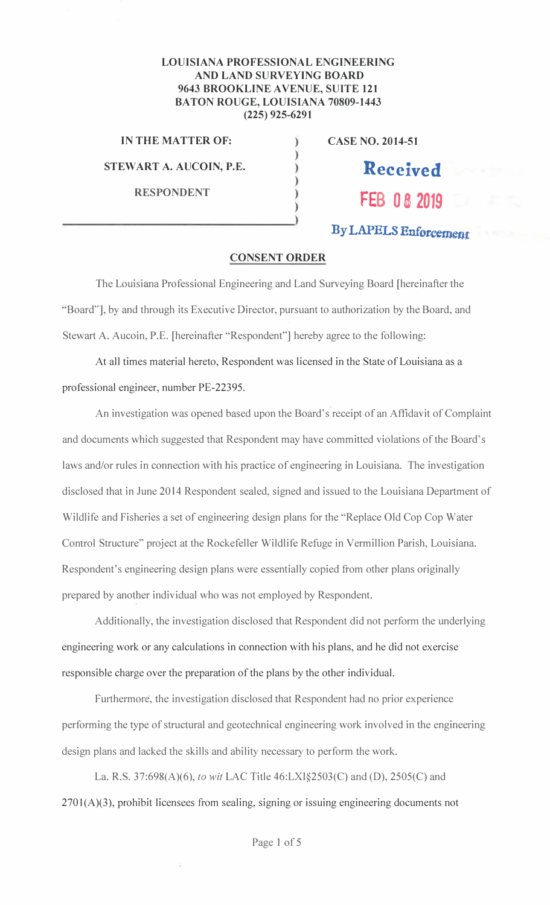## **LOUISIANA PROFESSIONAL ENGINEERING AND LAND SURVEYING BOARD** 9643 BROOKLINE AVENUE, SUITE 121 **BATON ROUGE, LOUISIANA 70809-1443**  $(225)$  925-6291

€

 $\mathcal{I}$ 

IN THE MATTER OF:

STEWART A. AUCOIN, P.E.

**RESPONDENT** 

**CASE NO. 2014-51** 

**Received FEB 08 2019** 

By LAPELS Enforcement

## **CONSENT ORDER**

The Louisiana Professional Engineering and Land Surveying Board [hereinafter the "Board"], by and through its Executive Director, pursuant to authorization by the Board, and Stewart A. Aucoin, P.E. [hereinafter "Respondent"] hereby agree to the following:

At all times material hereto, Respondent was licensed in the State of Louisiana as a professional engineer, number PE-22395.

An investigation was opened based upon the Board's receipt of an Affidavit of Complaint and documents which suggested that Respondent may have committed violations of the Board's laws and/or rules in connection with his practice of engineering in Louisiana. The investigation disclosed that in June 2014 Respondent sealed, signed and issued to the Louisiana Department of Wildlife and Fisheries a set of engineering design plans for the "Replace Old Cop Cop Water Control Structure" project at the Rockefeller Wildlife Refuge in Vermillion Parish, Louisiana. Respondent's engineering design plans were essentially copied from other plans originally prepared by another individual who was not employed by Respondent.

Additionally, the investigation disclosed that Respondent did not perform the underlying engineering work or any calculations in connection with his plans, and he did not exercise responsible charge over the preparation of the plans by the other individual.

Furthermore, the investigation disclosed that Respondent had no prior experience performing the type of structural and geotechnical engineering work involved in the engineering design plans and lacked the skills and ability necessary to perform the work.

La. R.S. 37:698(A)(6), to wit LAC Title 46:LXI§2503(C) and (D), 2505(C) and  $2701(A)(3)$ , prohibit licensees from sealing, signing or issuing engineering documents not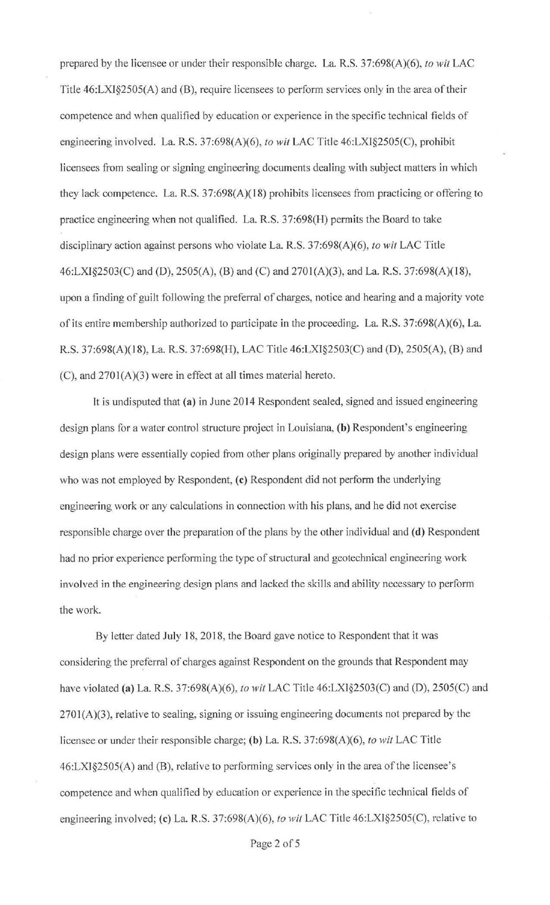prepared by the licensee or under their responsible charge. La. R.S. 37:698(A)(6), *to wit* LAC Title 46:LX1§2505(A) and (B), require licensees to perform services only in the area of their competence and when qualified by education or experience in the specific technical fields of engineering involved. La. R.S. 37:698(A)(6), *to wit* LAC Title 46:LXI§2505(C), prohibit licensees from sealing or signing engineering documents dealing with subject matters in which they lack competence. La. R.S. 37:698(A)(18) prohibits licensees from practicing or offering to practice engjneering when not qualified. La. R.S. 37:698(H) permits the Board to take disciplinary action against persons who violate La. R.S. 37:698(A)(6), *to wit* LAC Title 46:LXI§2503(C) and (D), 2505(A), (B) and (C) and 2701 (A)(3), and La. R.S. 37:698(A)(18), upon a finding of guilt following the preferral of charges, notice and hearing and a majority vote of its entire membership authorized to participate in the proceeding. La. R.S. 37:698(A)(6), La. R.S. 37:698(A)(18), La. R.S. 37:698(H), LAC Title 46:LXI§2503(C) and (D), 2505(A), (B) and (C), and 2701(A)(3) were in effect at all times material hereto.

It is undisputed that **(a)** in June 2014 Respondent sealed, signed and issued engjneering design plans for a water control structure project in Louisiana, **(b)** Respondent's engineering design plans were essentially copied from other plans originally prepared by another individual who was not employed by Respondent, **(c)** Respondent did not perform the underlying engineering work or any calculations in connection with his plans, and he did not exercise responsible charge over the preparation of the plans by the other individual and **(d)** Respondent had no prior experience performing the type of structural and geotechnical engineering work involved in the engineering design plans and lacked the skills and ability necessary to perform the work.

By letter dated July 18, 2018, the Board gave notice to Respondent that it was considering the preferral of charges against Respondent on the grounds that Respondent may have violated **(a)** La. R.S. 37:698(A)(6), *to wit* LAC Title 46:LXT§2503(C) and (D), 2505(C) and  $2701(A)(3)$ , relative to sealing, signing or issuing engineering documents not prepared by the licensee or under their responsible charge; **(b)** La R.S. 37:698(A)(6), *to wit* LAC Title 46:LX1§2505(A) and (B), relative to performing services only in the area of the licensee's competence and when qualified by education or experience in the specific technical fields of engineering involved; **(c)** La. R.S. 37:698(A)(6), *to wit* LAC Title 46:LXI§2505(C), relative to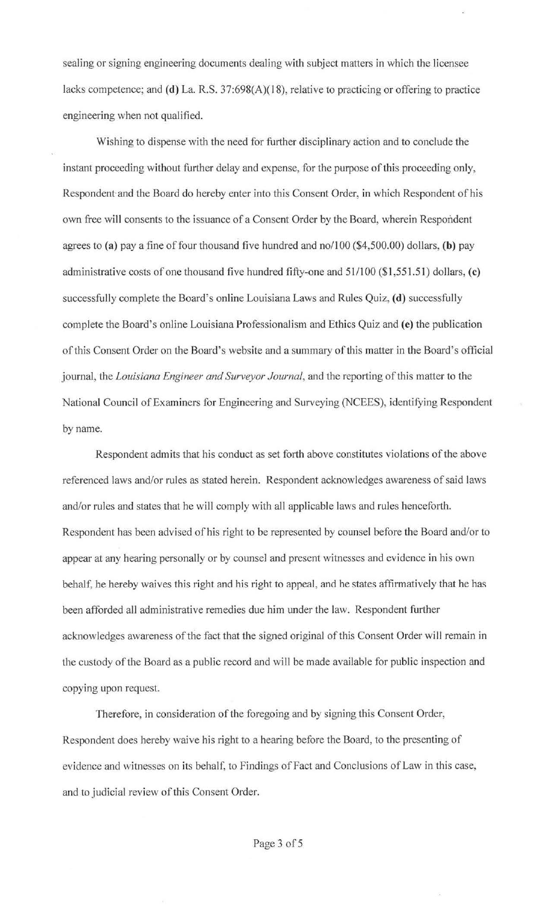sealing or signing engineering documents dealing with subject matters in which the licensee lacks competence; and (d) La. R.S. 37:698(A)(18), relative to practicing or offering to practice engineering when not qualified.

Wishing to dispense with the need for further disciplinary action and to conclude the instant proceeding without further delay and expense, for the purpose of this proceeding only, Respondent and the Board do hereby enter into this Consent Order, in which Respondent of his own free will consents to the issuance of a Consent Order by the Board, wherein Respondent agrees to (a) pay a fine of four thousand five hundred and no/100 (\$4,500.00) dollars, (b) pay administrative costs of one thousand five hundred fifty-one and 51/100 (\$1 ,551.51) dollars, **(c)**  successfully complete the Board's online Louisiana Laws and Rules Quiz, (d) successfully complete the Board's online Louisiana Professionalism and Ethics Quiz and **(e)** the publication of this Consent Order on the Board's website and a summary of this matter in the Board's official journal, the *Louisiana Engineer and Surveyor Journal,* and the reporting of this matter to the National Council of Examiners for Engineering and Surveying (NCEES), identifying Respondent by name.

Respondent admits that his conduct as set forth above constitutes violations of the above referenced laws and/or rules as stated herein. Respondent acknowledges awareness of said laws and/or rules and states that he will comply with all applicable laws and rules henceforth. Respondent has been advised of his right to be represented by counsel before the Board and/or to appear at any hearing personally or by counsel and present witnesses and evidence in his own behalf, he hereby waives this right and his right to appeal, and he states affirmatively that he has been afforded all administrative remedies due him under the law. Respondent further acknowledges awareness of the fact that the signed original of this Consent Order will remain in the custody of the Board as a public record and will be made available for public inspection and copying upon request.

Therefore, in consideration of the foregoing and by signing this Consent Order, Respondent does hereby waive his right to a hearing before the Board, to the presenting of evidence and witnesses on its behalf, to Findings of Fact and Conclusions of Law in this case, and to judicial review of this Consent Order.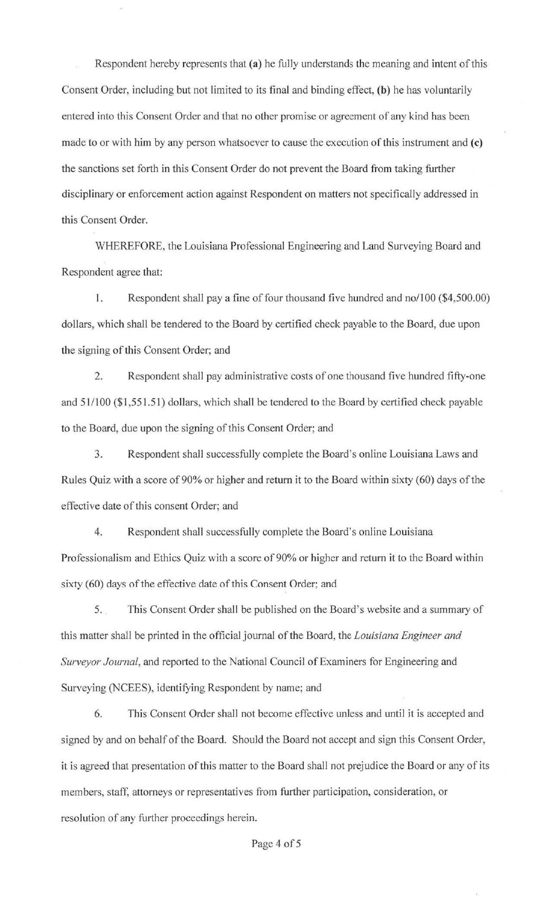Respondent hereby represents that **(a)** he fully understands the meaning and intent of this Consent Order, including but not limited to its final and binding effect, **(b)** he has voluntarily entered into this Consent Order and that no other promise or agreement of any kind has been made to or with him by any person whatsoever to cause the execution of this instrument and **(c)**  the sanctions set forth in this Consent Order do not prevent the Board from taking further disciplinary or enforcement action against Respondent on matters not specifically addressed in this Consent Order.

WHEREFORE, the Louisiana Professional Engineering and Land Surveying Board and Respondent agree that:

I. Respondent shall pay a fine of four thousand five hundred and no/100 (\$4,500.00) dollars, which shall be tendered to the Board by certified check payable to the Board, due upon the signing of this Consent Order; and

2. Respondent shall pay administrative costs of one thousand five hundred fifty-one and 51/100 (\$1,551.51) dollars, which shall be tendered to the Board by certified check payable to the Board, due upon the signing of this Consent Order; and

3. Respondent shall successfully complete the Board's online Louisiana Laws and Rules Quiz with a score of 90% or higher and return it to the Board within sixty (60) days of the effective date of this consent Order; and

4. Respondent shall successfully complete the Board's online Louisiana Professionalism and Ethics Quiz with a score of 90% or higher and return it to the Board within sixty (60) days of the effective date of this Consent Order; and

5. . This Consent Order shall be published on the Board's website and a summary of this matter shall be printed in the official journal of the Board, the *Louisiana Engineer and Surveyor Journal,* and reported to the National Council of Examiners for Engineering and Surveying (NCEES), identifying Respondent by name; and

6. This Consent Order shall not become effective unless and until it is accepted and signed by and on behalf of the Board. Should the Board not accept and sign this Consent Order, it is agreed that presentation of this matter to the Board shall not prejudice the Board or any of its members, staff, attorneys or representatives from further participation, consideration, or resolution of any further proceedings herein.

Page 4 of 5